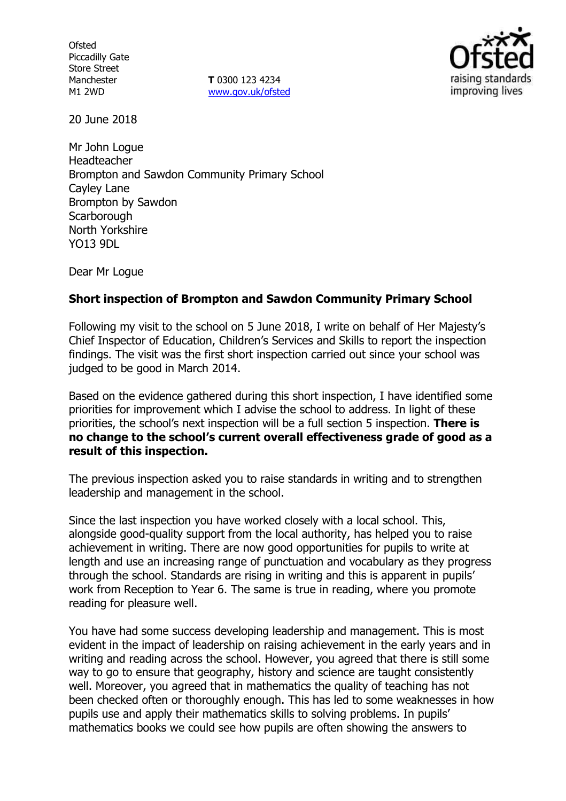**Ofsted** Piccadilly Gate Store Street Manchester M1 2WD

**T** 0300 123 4234 www.gov.uk/ofsted



20 June 2018

Mr John Logue Headteacher Brompton and Sawdon Community Primary School Cayley Lane Brompton by Sawdon **Scarborough** North Yorkshire YO13 9DL

Dear Mr Logue

## **Short inspection of Brompton and Sawdon Community Primary School**

Following my visit to the school on 5 June 2018, I write on behalf of Her Majesty's Chief Inspector of Education, Children's Services and Skills to report the inspection findings. The visit was the first short inspection carried out since your school was judged to be good in March 2014.

Based on the evidence gathered during this short inspection, I have identified some priorities for improvement which I advise the school to address. In light of these priorities, the school's next inspection will be a full section 5 inspection. **There is no change to the school's current overall effectiveness grade of good as a result of this inspection.**

The previous inspection asked you to raise standards in writing and to strengthen leadership and management in the school.

Since the last inspection you have worked closely with a local school. This, alongside good-quality support from the local authority, has helped you to raise achievement in writing. There are now good opportunities for pupils to write at length and use an increasing range of punctuation and vocabulary as they progress through the school. Standards are rising in writing and this is apparent in pupils' work from Reception to Year 6. The same is true in reading, where you promote reading for pleasure well.

You have had some success developing leadership and management. This is most evident in the impact of leadership on raising achievement in the early years and in writing and reading across the school. However, you agreed that there is still some way to go to ensure that geography, history and science are taught consistently well. Moreover, you agreed that in mathematics the quality of teaching has not been checked often or thoroughly enough. This has led to some weaknesses in how pupils use and apply their mathematics skills to solving problems. In pupils' mathematics books we could see how pupils are often showing the answers to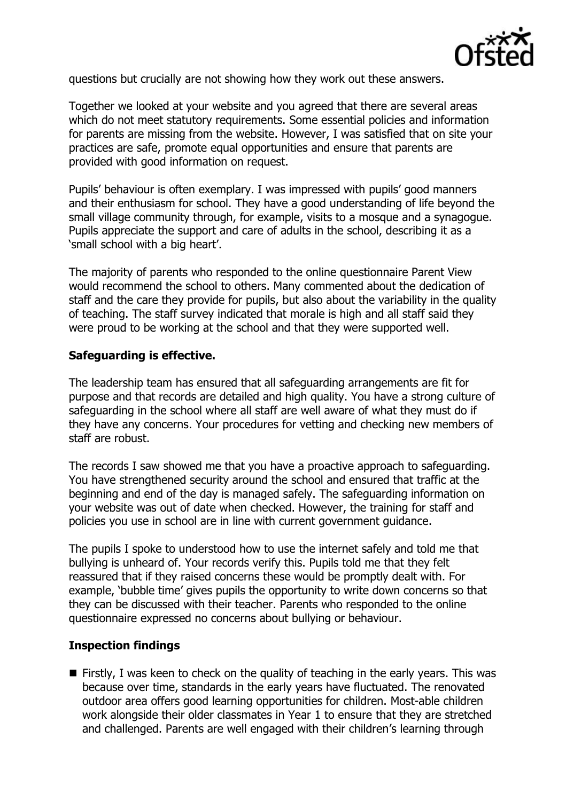

questions but crucially are not showing how they work out these answers.

Together we looked at your website and you agreed that there are several areas which do not meet statutory requirements. Some essential policies and information for parents are missing from the website. However, I was satisfied that on site your practices are safe, promote equal opportunities and ensure that parents are provided with good information on request.

Pupils' behaviour is often exemplary. I was impressed with pupils' good manners and their enthusiasm for school. They have a good understanding of life beyond the small village community through, for example, visits to a mosque and a synagogue. Pupils appreciate the support and care of adults in the school, describing it as a 'small school with a big heart'.

The majority of parents who responded to the online questionnaire Parent View would recommend the school to others. Many commented about the dedication of staff and the care they provide for pupils, but also about the variability in the quality of teaching. The staff survey indicated that morale is high and all staff said they were proud to be working at the school and that they were supported well.

## **Safeguarding is effective.**

The leadership team has ensured that all safeguarding arrangements are fit for purpose and that records are detailed and high quality. You have a strong culture of safeguarding in the school where all staff are well aware of what they must do if they have any concerns. Your procedures for vetting and checking new members of staff are robust.

The records I saw showed me that you have a proactive approach to safeguarding. You have strengthened security around the school and ensured that traffic at the beginning and end of the day is managed safely. The safeguarding information on your website was out of date when checked. However, the training for staff and policies you use in school are in line with current government guidance.

The pupils I spoke to understood how to use the internet safely and told me that bullying is unheard of. Your records verify this. Pupils told me that they felt reassured that if they raised concerns these would be promptly dealt with. For example, 'bubble time' gives pupils the opportunity to write down concerns so that they can be discussed with their teacher. Parents who responded to the online questionnaire expressed no concerns about bullying or behaviour.

#### **Inspection findings**

 $\blacksquare$  Firstly, I was keen to check on the quality of teaching in the early years. This was because over time, standards in the early years have fluctuated. The renovated outdoor area offers good learning opportunities for children. Most-able children work alongside their older classmates in Year 1 to ensure that they are stretched and challenged. Parents are well engaged with their children's learning through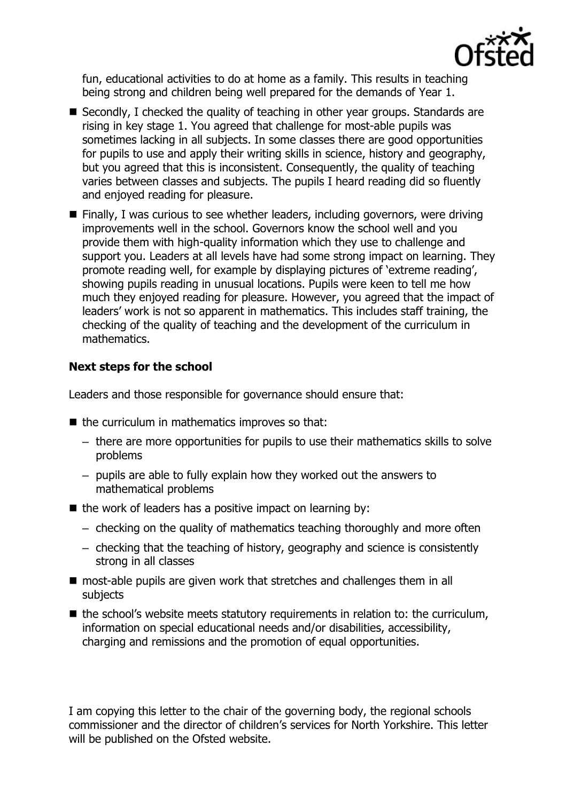

fun, educational activities to do at home as a family. This results in teaching being strong and children being well prepared for the demands of Year 1.

- Secondly, I checked the quality of teaching in other year groups. Standards are rising in key stage 1. You agreed that challenge for most-able pupils was sometimes lacking in all subjects. In some classes there are good opportunities for pupils to use and apply their writing skills in science, history and geography, but you agreed that this is inconsistent. Consequently, the quality of teaching varies between classes and subjects. The pupils I heard reading did so fluently and enjoyed reading for pleasure.
- Finally, I was curious to see whether leaders, including governors, were driving improvements well in the school. Governors know the school well and you provide them with high-quality information which they use to challenge and support you. Leaders at all levels have had some strong impact on learning. They promote reading well, for example by displaying pictures of 'extreme reading', showing pupils reading in unusual locations. Pupils were keen to tell me how much they enjoyed reading for pleasure. However, you agreed that the impact of leaders' work is not so apparent in mathematics. This includes staff training, the checking of the quality of teaching and the development of the curriculum in mathematics.

# **Next steps for the school**

Leaders and those responsible for governance should ensure that:

- $\blacksquare$  the curriculum in mathematics improves so that:
	- there are more opportunities for pupils to use their mathematics skills to solve problems
	- pupils are able to fully explain how they worked out the answers to mathematical problems
- $\blacksquare$  the work of leaders has a positive impact on learning by:
	- checking on the quality of mathematics teaching thoroughly and more often
	- checking that the teaching of history, geography and science is consistently strong in all classes
- most-able pupils are given work that stretches and challenges them in all subjects
- $\blacksquare$  the school's website meets statutory requirements in relation to: the curriculum, information on special educational needs and/or disabilities, accessibility, charging and remissions and the promotion of equal opportunities.

I am copying this letter to the chair of the governing body, the regional schools commissioner and the director of children's services for North Yorkshire. This letter will be published on the Ofsted website.